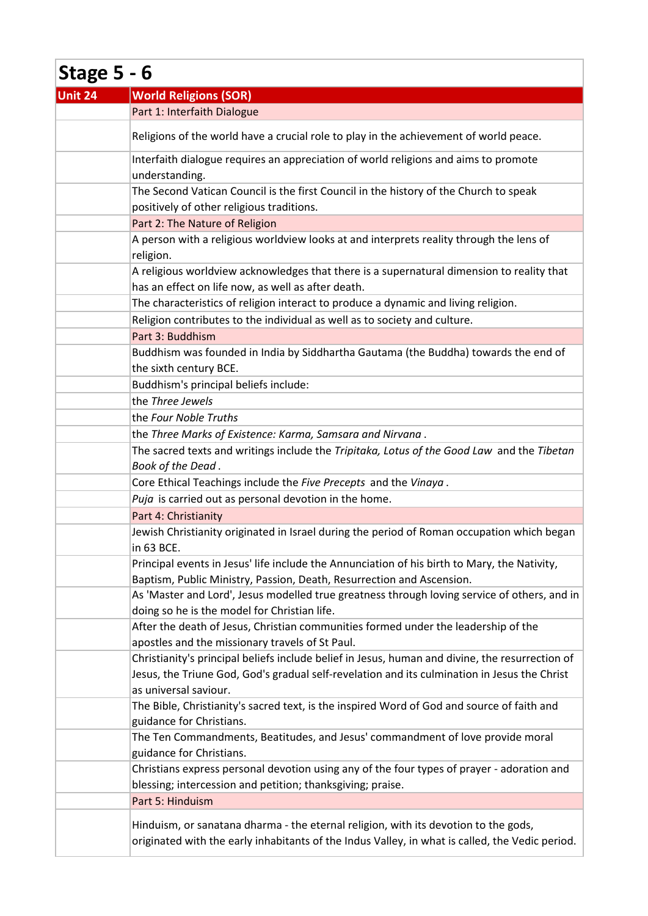| Stage $5 - 6$ |                                                                                                                                                                                                                          |
|---------------|--------------------------------------------------------------------------------------------------------------------------------------------------------------------------------------------------------------------------|
| Unit 24       | <b>World Religions (SOR)</b>                                                                                                                                                                                             |
|               | Part 1: Interfaith Dialogue                                                                                                                                                                                              |
|               | Religions of the world have a crucial role to play in the achievement of world peace.                                                                                                                                    |
|               | Interfaith dialogue requires an appreciation of world religions and aims to promote<br>understanding.                                                                                                                    |
|               | The Second Vatican Council is the first Council in the history of the Church to speak<br>positively of other religious traditions.                                                                                       |
|               | Part 2: The Nature of Religion                                                                                                                                                                                           |
|               | A person with a religious worldview looks at and interprets reality through the lens of<br>religion.                                                                                                                     |
|               | A religious worldview acknowledges that there is a supernatural dimension to reality that<br>has an effect on life now, as well as after death.                                                                          |
|               | The characteristics of religion interact to produce a dynamic and living religion.                                                                                                                                       |
|               | Religion contributes to the individual as well as to society and culture.                                                                                                                                                |
|               | Part 3: Buddhism                                                                                                                                                                                                         |
|               | Buddhism was founded in India by Siddhartha Gautama (the Buddha) towards the end of                                                                                                                                      |
|               | the sixth century BCE.                                                                                                                                                                                                   |
|               | Buddhism's principal beliefs include:                                                                                                                                                                                    |
|               | the Three Jewels                                                                                                                                                                                                         |
|               | the Four Noble Truths                                                                                                                                                                                                    |
|               | the Three Marks of Existence: Karma, Samsara and Nirvana.                                                                                                                                                                |
|               | The sacred texts and writings include the Tripitaka, Lotus of the Good Law and the Tibetan                                                                                                                               |
|               | Book of the Dead.                                                                                                                                                                                                        |
|               | Core Ethical Teachings include the Five Precepts and the Vinaya.                                                                                                                                                         |
|               | Puja is carried out as personal devotion in the home.                                                                                                                                                                    |
|               | Part 4: Christianity                                                                                                                                                                                                     |
|               | Jewish Christianity originated in Israel during the period of Roman occupation which began<br>in 63 BCE.                                                                                                                 |
|               | Principal events in Jesus' life include the Annunciation of his birth to Mary, the Nativity,<br>Baptism, Public Ministry, Passion, Death, Resurrection and Ascension.                                                    |
|               | As 'Master and Lord', Jesus modelled true greatness through loving service of others, and in<br>doing so he is the model for Christian life.                                                                             |
|               | After the death of Jesus, Christian communities formed under the leadership of the<br>apostles and the missionary travels of St Paul.                                                                                    |
|               | Christianity's principal beliefs include belief in Jesus, human and divine, the resurrection of<br>Jesus, the Triune God, God's gradual self-revelation and its culmination in Jesus the Christ<br>as universal saviour. |
|               | The Bible, Christianity's sacred text, is the inspired Word of God and source of faith and<br>guidance for Christians.                                                                                                   |
|               | The Ten Commandments, Beatitudes, and Jesus' commandment of love provide moral<br>guidance for Christians.                                                                                                               |
|               | Christians express personal devotion using any of the four types of prayer - adoration and                                                                                                                               |
|               | blessing; intercession and petition; thanksgiving; praise.                                                                                                                                                               |
|               | Part 5: Hinduism                                                                                                                                                                                                         |
|               | Hinduism, or sanatana dharma - the eternal religion, with its devotion to the gods,<br>originated with the early inhabitants of the Indus Valley, in what is called, the Vedic period.                                   |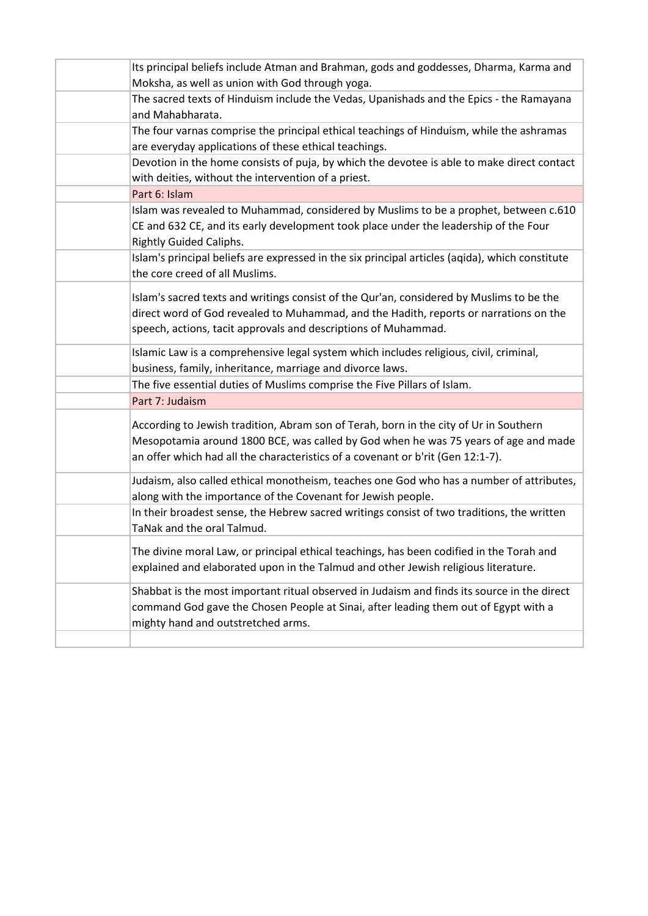| Its principal beliefs include Atman and Brahman, gods and goddesses, Dharma, Karma and                                                                                                                                                                          |
|-----------------------------------------------------------------------------------------------------------------------------------------------------------------------------------------------------------------------------------------------------------------|
| Moksha, as well as union with God through yoga.                                                                                                                                                                                                                 |
| The sacred texts of Hinduism include the Vedas, Upanishads and the Epics - the Ramayana<br>and Mahabharata.                                                                                                                                                     |
| The four varnas comprise the principal ethical teachings of Hinduism, while the ashramas                                                                                                                                                                        |
| are everyday applications of these ethical teachings.                                                                                                                                                                                                           |
| Devotion in the home consists of puja, by which the devotee is able to make direct contact<br>with deities, without the intervention of a priest.                                                                                                               |
| Part 6: Islam                                                                                                                                                                                                                                                   |
| Islam was revealed to Muhammad, considered by Muslims to be a prophet, between c.610<br>CE and 632 CE, and its early development took place under the leadership of the Four<br><b>Rightly Guided Caliphs.</b>                                                  |
| Islam's principal beliefs are expressed in the six principal articles (aqida), which constitute<br>the core creed of all Muslims.                                                                                                                               |
| Islam's sacred texts and writings consist of the Qur'an, considered by Muslims to be the<br>direct word of God revealed to Muhammad, and the Hadith, reports or narrations on the<br>speech, actions, tacit approvals and descriptions of Muhammad.             |
| Islamic Law is a comprehensive legal system which includes religious, civil, criminal,<br>business, family, inheritance, marriage and divorce laws.                                                                                                             |
| The five essential duties of Muslims comprise the Five Pillars of Islam.                                                                                                                                                                                        |
| Part 7: Judaism                                                                                                                                                                                                                                                 |
| According to Jewish tradition, Abram son of Terah, born in the city of Ur in Southern<br>Mesopotamia around 1800 BCE, was called by God when he was 75 years of age and made<br>an offer which had all the characteristics of a covenant or b'rit (Gen 12:1-7). |
| Judaism, also called ethical monotheism, teaches one God who has a number of attributes,<br>along with the importance of the Covenant for Jewish people.                                                                                                        |
| In their broadest sense, the Hebrew sacred writings consist of two traditions, the written<br>TaNak and the oral Talmud.                                                                                                                                        |
| The divine moral Law, or principal ethical teachings, has been codified in the Torah and<br>explained and elaborated upon in the Talmud and other Jewish religious literature.                                                                                  |
| Shabbat is the most important ritual observed in Judaism and finds its source in the direct<br>command God gave the Chosen People at Sinai, after leading them out of Egypt with a<br>mighty hand and outstretched arms.                                        |
|                                                                                                                                                                                                                                                                 |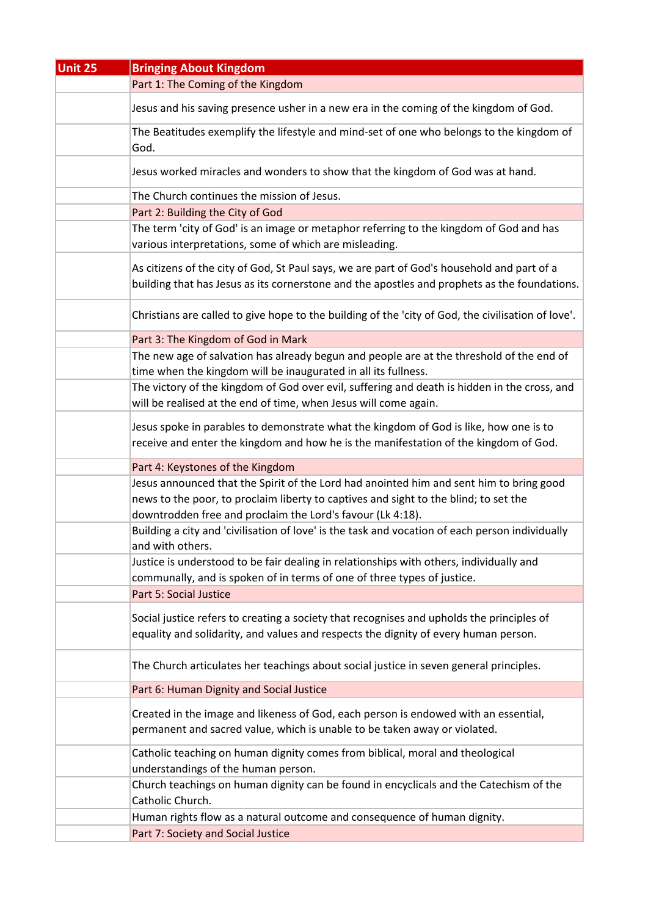| <b>Unit 25</b> | <b>Bringing About Kingdom</b>                                                                                                                                                                                                                 |
|----------------|-----------------------------------------------------------------------------------------------------------------------------------------------------------------------------------------------------------------------------------------------|
|                | Part 1: The Coming of the Kingdom                                                                                                                                                                                                             |
|                | Jesus and his saving presence usher in a new era in the coming of the kingdom of God.                                                                                                                                                         |
|                | The Beatitudes exemplify the lifestyle and mind-set of one who belongs to the kingdom of<br>God.                                                                                                                                              |
|                | Jesus worked miracles and wonders to show that the kingdom of God was at hand.                                                                                                                                                                |
|                | The Church continues the mission of Jesus.                                                                                                                                                                                                    |
|                | Part 2: Building the City of God                                                                                                                                                                                                              |
|                | The term 'city of God' is an image or metaphor referring to the kingdom of God and has<br>various interpretations, some of which are misleading.                                                                                              |
|                | As citizens of the city of God, St Paul says, we are part of God's household and part of a<br>building that has Jesus as its cornerstone and the apostles and prophets as the foundations.                                                    |
|                | Christians are called to give hope to the building of the 'city of God, the civilisation of love'.                                                                                                                                            |
|                | Part 3: The Kingdom of God in Mark                                                                                                                                                                                                            |
|                | The new age of salvation has already begun and people are at the threshold of the end of<br>time when the kingdom will be inaugurated in all its fullness.                                                                                    |
|                | The victory of the kingdom of God over evil, suffering and death is hidden in the cross, and<br>will be realised at the end of time, when Jesus will come again.                                                                              |
|                | Jesus spoke in parables to demonstrate what the kingdom of God is like, how one is to<br>receive and enter the kingdom and how he is the manifestation of the kingdom of God.                                                                 |
|                | Part 4: Keystones of the Kingdom                                                                                                                                                                                                              |
|                | Jesus announced that the Spirit of the Lord had anointed him and sent him to bring good<br>news to the poor, to proclaim liberty to captives and sight to the blind; to set the<br>downtrodden free and proclaim the Lord's favour (Lk 4:18). |
|                | Building a city and 'civilisation of love' is the task and vocation of each person individually<br>and with others.                                                                                                                           |
|                | Justice is understood to be fair dealing in relationships with others, individually and<br>communally, and is spoken of in terms of one of three types of justice.                                                                            |
|                | Part 5: Social Justice                                                                                                                                                                                                                        |
|                | Social justice refers to creating a society that recognises and upholds the principles of<br>equality and solidarity, and values and respects the dignity of every human person.                                                              |
|                | The Church articulates her teachings about social justice in seven general principles.                                                                                                                                                        |
|                | Part 6: Human Dignity and Social Justice                                                                                                                                                                                                      |
|                | Created in the image and likeness of God, each person is endowed with an essential,                                                                                                                                                           |
|                | permanent and sacred value, which is unable to be taken away or violated.                                                                                                                                                                     |
|                | Catholic teaching on human dignity comes from biblical, moral and theological<br>understandings of the human person.                                                                                                                          |
|                | Church teachings on human dignity can be found in encyclicals and the Catechism of the<br>Catholic Church.                                                                                                                                    |
|                | Human rights flow as a natural outcome and consequence of human dignity.                                                                                                                                                                      |
|                | Part 7: Society and Social Justice                                                                                                                                                                                                            |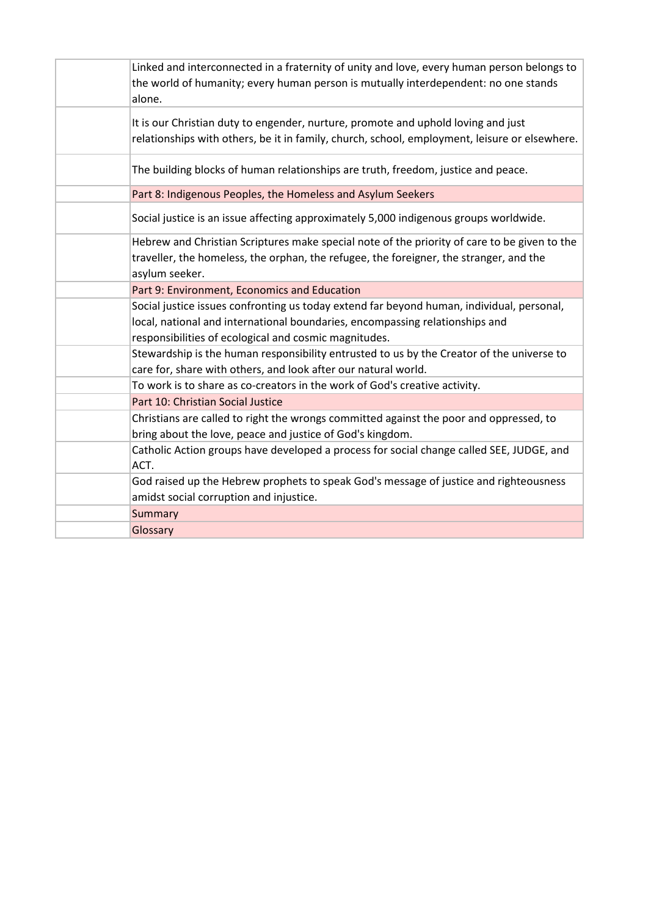| Linked and interconnected in a fraternity of unity and love, every human person belongs to<br>the world of humanity; every human person is mutually interdependent: no one stands<br>alone.                                        |
|------------------------------------------------------------------------------------------------------------------------------------------------------------------------------------------------------------------------------------|
| It is our Christian duty to engender, nurture, promote and uphold loving and just<br>relationships with others, be it in family, church, school, employment, leisure or elsewhere.                                                 |
| The building blocks of human relationships are truth, freedom, justice and peace.                                                                                                                                                  |
| Part 8: Indigenous Peoples, the Homeless and Asylum Seekers                                                                                                                                                                        |
| Social justice is an issue affecting approximately 5,000 indigenous groups worldwide.                                                                                                                                              |
| Hebrew and Christian Scriptures make special note of the priority of care to be given to the<br>traveller, the homeless, the orphan, the refugee, the foreigner, the stranger, and the<br>asylum seeker.                           |
| Part 9: Environment, Economics and Education                                                                                                                                                                                       |
| Social justice issues confronting us today extend far beyond human, individual, personal,<br>local, national and international boundaries, encompassing relationships and<br>responsibilities of ecological and cosmic magnitudes. |
| Stewardship is the human responsibility entrusted to us by the Creator of the universe to<br>care for, share with others, and look after our natural world.                                                                        |
| To work is to share as co-creators in the work of God's creative activity.                                                                                                                                                         |
| Part 10: Christian Social Justice                                                                                                                                                                                                  |
| Christians are called to right the wrongs committed against the poor and oppressed, to<br>bring about the love, peace and justice of God's kingdom.                                                                                |
| Catholic Action groups have developed a process for social change called SEE, JUDGE, and<br>ACT.                                                                                                                                   |
| God raised up the Hebrew prophets to speak God's message of justice and righteousness<br>amidst social corruption and injustice.                                                                                                   |
| Summary                                                                                                                                                                                                                            |
| Glossary                                                                                                                                                                                                                           |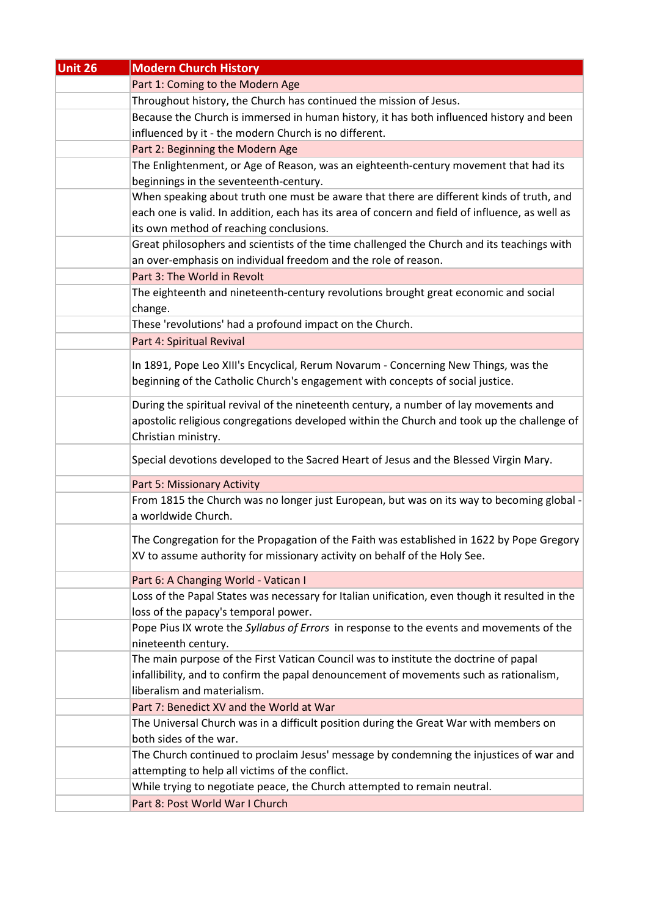| Unit 26 | <b>Modern Church History</b>                                                                                      |
|---------|-------------------------------------------------------------------------------------------------------------------|
|         | Part 1: Coming to the Modern Age                                                                                  |
|         | Throughout history, the Church has continued the mission of Jesus.                                                |
|         | Because the Church is immersed in human history, it has both influenced history and been                          |
|         | influenced by it - the modern Church is no different.                                                             |
|         | Part 2: Beginning the Modern Age                                                                                  |
|         | The Enlightenment, or Age of Reason, was an eighteenth-century movement that had its                              |
|         | beginnings in the seventeenth-century.                                                                            |
|         | When speaking about truth one must be aware that there are different kinds of truth, and                          |
|         | each one is valid. In addition, each has its area of concern and field of influence, as well as                   |
|         | its own method of reaching conclusions.                                                                           |
|         | Great philosophers and scientists of the time challenged the Church and its teachings with                        |
|         | an over-emphasis on individual freedom and the role of reason.                                                    |
|         | Part 3: The World in Revolt                                                                                       |
|         | The eighteenth and nineteenth-century revolutions brought great economic and social                               |
|         | change.                                                                                                           |
|         | These 'revolutions' had a profound impact on the Church.                                                          |
|         | Part 4: Spiritual Revival                                                                                         |
|         | In 1891, Pope Leo XIII's Encyclical, Rerum Novarum - Concerning New Things, was the                               |
|         | beginning of the Catholic Church's engagement with concepts of social justice.                                    |
|         |                                                                                                                   |
|         | During the spiritual revival of the nineteenth century, a number of lay movements and                             |
|         | apostolic religious congregations developed within the Church and took up the challenge of<br>Christian ministry. |
|         |                                                                                                                   |
|         | Special devotions developed to the Sacred Heart of Jesus and the Blessed Virgin Mary.                             |
|         | Part 5: Missionary Activity                                                                                       |
|         | From 1815 the Church was no longer just European, but was on its way to becoming global -                         |
|         | a worldwide Church.                                                                                               |
|         | The Congregation for the Propagation of the Faith was established in 1622 by Pope Gregory                         |
|         | XV to assume authority for missionary activity on behalf of the Holy See.                                         |
|         |                                                                                                                   |
|         | Part 6: A Changing World - Vatican I                                                                              |
|         | Loss of the Papal States was necessary for Italian unification, even though it resulted in the                    |
|         | loss of the papacy's temporal power.                                                                              |
|         | Pope Pius IX wrote the Syllabus of Errors in response to the events and movements of the<br>nineteenth century.   |
|         | The main purpose of the First Vatican Council was to institute the doctrine of papal                              |
|         | infallibility, and to confirm the papal denouncement of movements such as rationalism,                            |
|         | liberalism and materialism.                                                                                       |
|         | Part 7: Benedict XV and the World at War                                                                          |
|         | The Universal Church was in a difficult position during the Great War with members on                             |
|         | both sides of the war.                                                                                            |
|         | The Church continued to proclaim Jesus' message by condemning the injustices of war and                           |
|         | attempting to help all victims of the conflict.                                                                   |
|         | While trying to negotiate peace, the Church attempted to remain neutral.                                          |
|         | Part 8: Post World War I Church                                                                                   |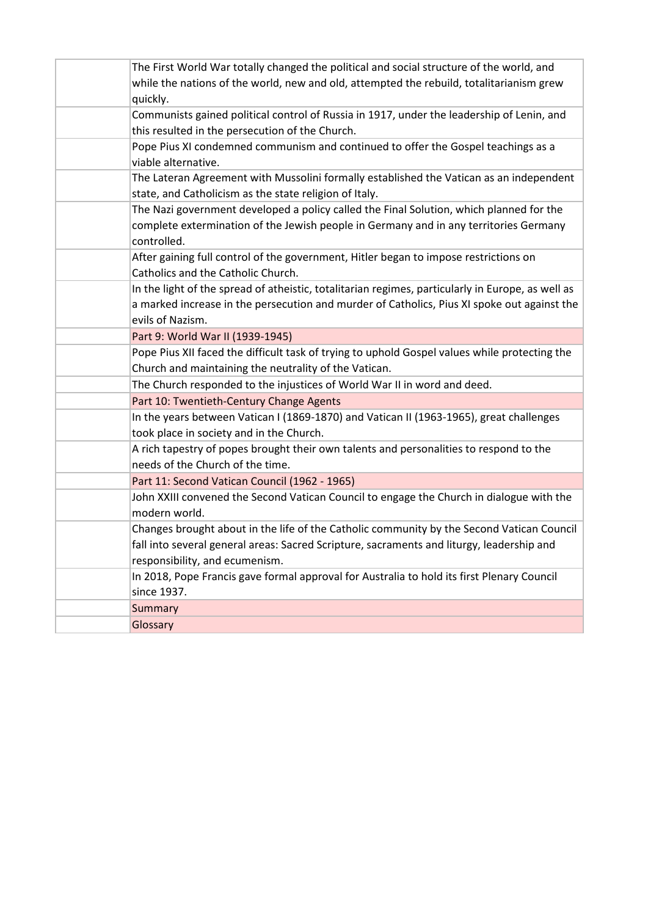| The First World War totally changed the political and social structure of the world, and<br>while the nations of the world, new and old, attempted the rebuild, totalitarianism grew<br>quickly. |
|--------------------------------------------------------------------------------------------------------------------------------------------------------------------------------------------------|
| Communists gained political control of Russia in 1917, under the leadership of Lenin, and                                                                                                        |
| this resulted in the persecution of the Church.                                                                                                                                                  |
| Pope Pius XI condemned communism and continued to offer the Gospel teachings as a                                                                                                                |
| viable alternative.                                                                                                                                                                              |
| The Lateran Agreement with Mussolini formally established the Vatican as an independent<br>state, and Catholicism as the state religion of Italy.                                                |
| The Nazi government developed a policy called the Final Solution, which planned for the                                                                                                          |
| complete extermination of the Jewish people in Germany and in any territories Germany<br>controlled.                                                                                             |
| After gaining full control of the government, Hitler began to impose restrictions on<br>Catholics and the Catholic Church.                                                                       |
| In the light of the spread of atheistic, totalitarian regimes, particularly in Europe, as well as                                                                                                |
| a marked increase in the persecution and murder of Catholics, Pius XI spoke out against the                                                                                                      |
| evils of Nazism.                                                                                                                                                                                 |
| Part 9: World War II (1939-1945)                                                                                                                                                                 |
| Pope Pius XII faced the difficult task of trying to uphold Gospel values while protecting the                                                                                                    |
| Church and maintaining the neutrality of the Vatican.                                                                                                                                            |
| The Church responded to the injustices of World War II in word and deed.                                                                                                                         |
| Part 10: Twentieth-Century Change Agents                                                                                                                                                         |
| In the years between Vatican I (1869-1870) and Vatican II (1963-1965), great challenges                                                                                                          |
| took place in society and in the Church.                                                                                                                                                         |
| A rich tapestry of popes brought their own talents and personalities to respond to the                                                                                                           |
| needs of the Church of the time.                                                                                                                                                                 |
| Part 11: Second Vatican Council (1962 - 1965)                                                                                                                                                    |
| John XXIII convened the Second Vatican Council to engage the Church in dialogue with the<br>modern world.                                                                                        |
| Changes brought about in the life of the Catholic community by the Second Vatican Council                                                                                                        |
| fall into several general areas: Sacred Scripture, sacraments and liturgy, leadership and                                                                                                        |
| responsibility, and ecumenism.                                                                                                                                                                   |
| In 2018, Pope Francis gave formal approval for Australia to hold its first Plenary Council                                                                                                       |
| since 1937.                                                                                                                                                                                      |
| Summary                                                                                                                                                                                          |
| Glossary                                                                                                                                                                                         |
|                                                                                                                                                                                                  |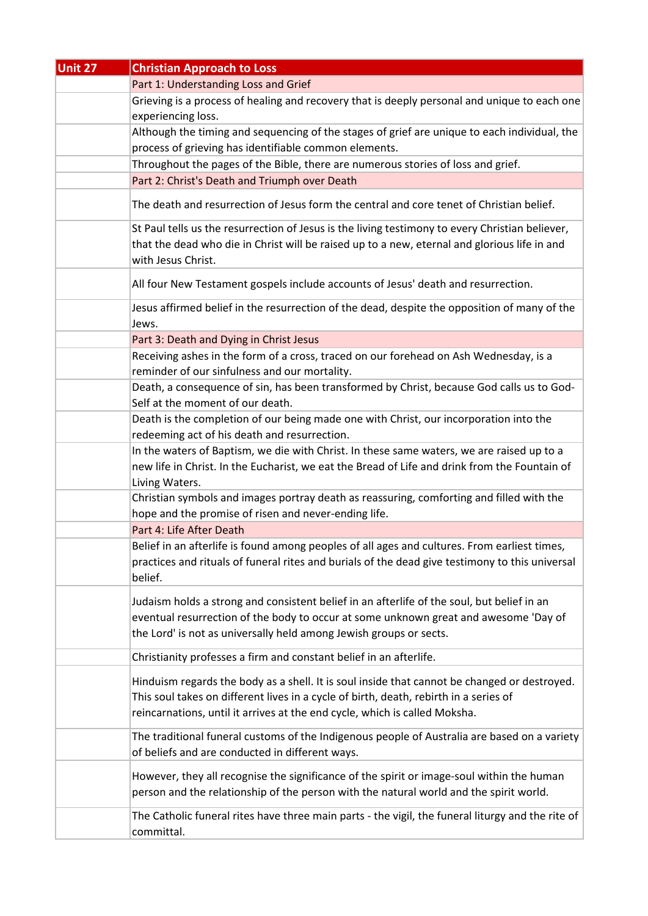| <b>Unit 27</b> | <b>Christian Approach to Loss</b>                                                                                                                                                                                                                                   |
|----------------|---------------------------------------------------------------------------------------------------------------------------------------------------------------------------------------------------------------------------------------------------------------------|
|                | Part 1: Understanding Loss and Grief                                                                                                                                                                                                                                |
|                | Grieving is a process of healing and recovery that is deeply personal and unique to each one<br>experiencing loss.                                                                                                                                                  |
|                | Although the timing and sequencing of the stages of grief are unique to each individual, the                                                                                                                                                                        |
|                | process of grieving has identifiable common elements.                                                                                                                                                                                                               |
|                | Throughout the pages of the Bible, there are numerous stories of loss and grief.                                                                                                                                                                                    |
|                | Part 2: Christ's Death and Triumph over Death                                                                                                                                                                                                                       |
|                | The death and resurrection of Jesus form the central and core tenet of Christian belief.                                                                                                                                                                            |
|                | St Paul tells us the resurrection of Jesus is the living testimony to every Christian believer,<br>that the dead who die in Christ will be raised up to a new, eternal and glorious life in and<br>with Jesus Christ.                                               |
|                | All four New Testament gospels include accounts of Jesus' death and resurrection.                                                                                                                                                                                   |
|                | Jesus affirmed belief in the resurrection of the dead, despite the opposition of many of the<br>Jews.                                                                                                                                                               |
|                | Part 3: Death and Dying in Christ Jesus                                                                                                                                                                                                                             |
|                | Receiving ashes in the form of a cross, traced on our forehead on Ash Wednesday, is a<br>reminder of our sinfulness and our mortality.                                                                                                                              |
|                | Death, a consequence of sin, has been transformed by Christ, because God calls us to God-<br>Self at the moment of our death.                                                                                                                                       |
|                | Death is the completion of our being made one with Christ, our incorporation into the<br>redeeming act of his death and resurrection.                                                                                                                               |
|                | In the waters of Baptism, we die with Christ. In these same waters, we are raised up to a<br>new life in Christ. In the Eucharist, we eat the Bread of Life and drink from the Fountain of<br>Living Waters.                                                        |
|                | Christian symbols and images portray death as reassuring, comforting and filled with the                                                                                                                                                                            |
|                | hope and the promise of risen and never-ending life.                                                                                                                                                                                                                |
|                | Part 4: Life After Death                                                                                                                                                                                                                                            |
|                | Belief in an afterlife is found among peoples of all ages and cultures. From earliest times,<br>practices and rituals of funeral rites and burials of the dead give testimony to this universal<br>belief.                                                          |
|                | Judaism holds a strong and consistent belief in an afterlife of the soul, but belief in an<br>eventual resurrection of the body to occur at some unknown great and awesome 'Day of<br>the Lord' is not as universally held among Jewish groups or sects.            |
|                | Christianity professes a firm and constant belief in an afterlife.                                                                                                                                                                                                  |
|                | Hinduism regards the body as a shell. It is soul inside that cannot be changed or destroyed.<br>This soul takes on different lives in a cycle of birth, death, rebirth in a series of<br>reincarnations, until it arrives at the end cycle, which is called Moksha. |
|                | The traditional funeral customs of the Indigenous people of Australia are based on a variety<br>of beliefs and are conducted in different ways.                                                                                                                     |
|                | However, they all recognise the significance of the spirit or image-soul within the human<br>person and the relationship of the person with the natural world and the spirit world.                                                                                 |
|                | The Catholic funeral rites have three main parts - the vigil, the funeral liturgy and the rite of<br>committal.                                                                                                                                                     |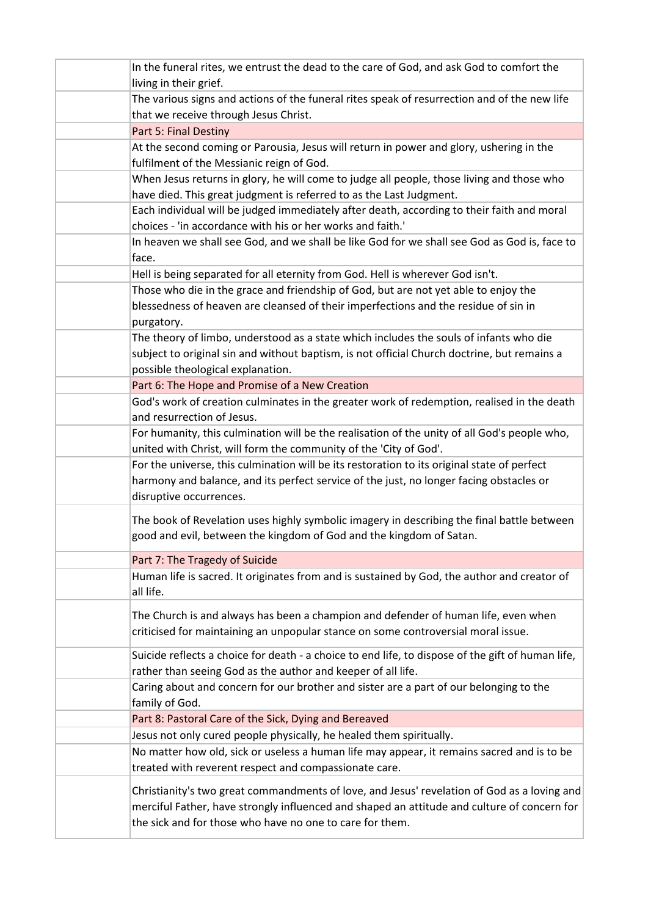| In the funeral rites, we entrust the dead to the care of God, and ask God to comfort the          |
|---------------------------------------------------------------------------------------------------|
| living in their grief.                                                                            |
| The various signs and actions of the funeral rites speak of resurrection and of the new life      |
| that we receive through Jesus Christ.                                                             |
| Part 5: Final Destiny                                                                             |
| At the second coming or Parousia, Jesus will return in power and glory, ushering in the           |
| fulfilment of the Messianic reign of God.                                                         |
| When Jesus returns in glory, he will come to judge all people, those living and those who         |
| have died. This great judgment is referred to as the Last Judgment.                               |
| Each individual will be judged immediately after death, according to their faith and moral        |
| choices - 'in accordance with his or her works and faith.'                                        |
| In heaven we shall see God, and we shall be like God for we shall see God as God is, face to      |
| face.                                                                                             |
| Hell is being separated for all eternity from God. Hell is wherever God isn't.                    |
| Those who die in the grace and friendship of God, but are not yet able to enjoy the               |
| blessedness of heaven are cleansed of their imperfections and the residue of sin in               |
| purgatory.                                                                                        |
| The theory of limbo, understood as a state which includes the souls of infants who die            |
| subject to original sin and without baptism, is not official Church doctrine, but remains a       |
| possible theological explanation.                                                                 |
| Part 6: The Hope and Promise of a New Creation                                                    |
| God's work of creation culminates in the greater work of redemption, realised in the death        |
| and resurrection of Jesus.                                                                        |
| For humanity, this culmination will be the realisation of the unity of all God's people who,      |
| united with Christ, will form the community of the 'City of God'.                                 |
| For the universe, this culmination will be its restoration to its original state of perfect       |
| harmony and balance, and its perfect service of the just, no longer facing obstacles or           |
| disruptive occurrences.                                                                           |
| The book of Revelation uses highly symbolic imagery in describing the final battle between        |
| good and evil, between the kingdom of God and the kingdom of Satan.                               |
| Part 7: The Tragedy of Suicide                                                                    |
| Human life is sacred. It originates from and is sustained by God, the author and creator of       |
| all life.                                                                                         |
|                                                                                                   |
| The Church is and always has been a champion and defender of human life, even when                |
| criticised for maintaining an unpopular stance on some controversial moral issue.                 |
| Suicide reflects a choice for death - a choice to end life, to dispose of the gift of human life, |
| rather than seeing God as the author and keeper of all life.                                      |
| Caring about and concern for our brother and sister are a part of our belonging to the            |
| family of God.                                                                                    |
| Part 8: Pastoral Care of the Sick, Dying and Bereaved                                             |
| Jesus not only cured people physically, he healed them spiritually.                               |
| No matter how old, sick or useless a human life may appear, it remains sacred and is to be        |
| treated with reverent respect and compassionate care.                                             |
| Christianity's two great commandments of love, and Jesus' revelation of God as a loving and       |
| merciful Father, have strongly influenced and shaped an attitude and culture of concern for       |
| the sick and for those who have no one to care for them.                                          |
|                                                                                                   |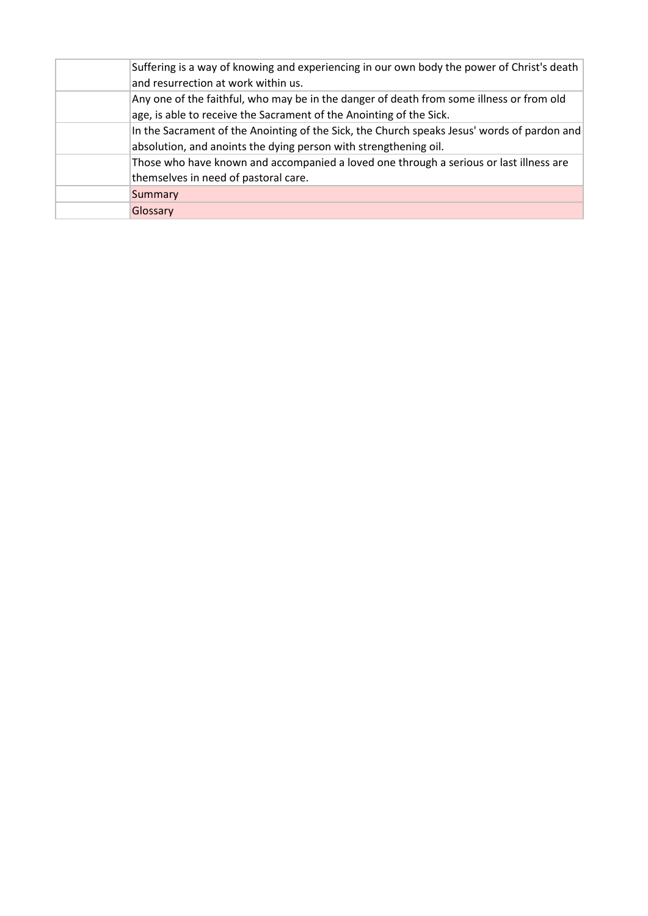| Suffering is a way of knowing and experiencing in our own body the power of Christ's death<br>and resurrection at work within us.                               |
|-----------------------------------------------------------------------------------------------------------------------------------------------------------------|
| Any one of the faithful, who may be in the danger of death from some illness or from old<br>age, is able to receive the Sacrament of the Anointing of the Sick. |
| In the Sacrament of the Anointing of the Sick, the Church speaks Jesus' words of pardon and<br>absolution, and anoints the dying person with strengthening oil. |
| Those who have known and accompanied a loved one through a serious or last illness are<br>themselves in need of pastoral care.                                  |
| Summary                                                                                                                                                         |
| Glossary                                                                                                                                                        |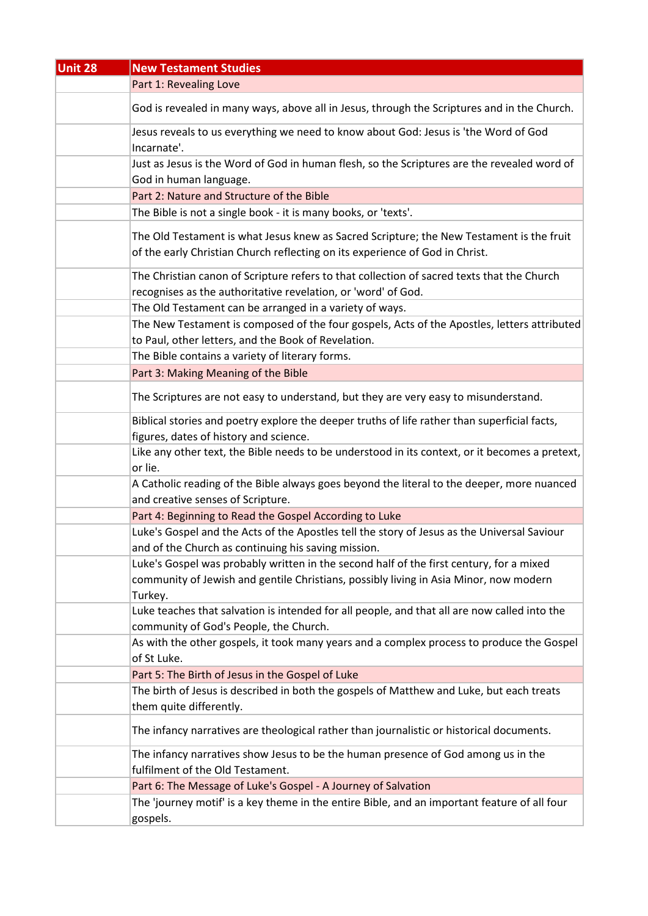| <b>Unit 28</b> | <b>New Testament Studies</b>                                                                                                                                             |
|----------------|--------------------------------------------------------------------------------------------------------------------------------------------------------------------------|
|                | Part 1: Revealing Love                                                                                                                                                   |
|                | God is revealed in many ways, above all in Jesus, through the Scriptures and in the Church.                                                                              |
|                | Jesus reveals to us everything we need to know about God: Jesus is 'the Word of God<br>Incarnate'.                                                                       |
|                | Just as Jesus is the Word of God in human flesh, so the Scriptures are the revealed word of                                                                              |
|                | God in human language.                                                                                                                                                   |
|                | Part 2: Nature and Structure of the Bible                                                                                                                                |
|                | The Bible is not a single book - it is many books, or 'texts'.                                                                                                           |
|                | The Old Testament is what Jesus knew as Sacred Scripture; the New Testament is the fruit<br>of the early Christian Church reflecting on its experience of God in Christ. |
|                | The Christian canon of Scripture refers to that collection of sacred texts that the Church                                                                               |
|                | recognises as the authoritative revelation, or 'word' of God.                                                                                                            |
|                | The Old Testament can be arranged in a variety of ways.                                                                                                                  |
|                | The New Testament is composed of the four gospels, Acts of the Apostles, letters attributed                                                                              |
|                | to Paul, other letters, and the Book of Revelation.                                                                                                                      |
|                | The Bible contains a variety of literary forms.                                                                                                                          |
|                | Part 3: Making Meaning of the Bible                                                                                                                                      |
|                | The Scriptures are not easy to understand, but they are very easy to misunderstand.                                                                                      |
|                | Biblical stories and poetry explore the deeper truths of life rather than superficial facts,                                                                             |
|                | figures, dates of history and science.                                                                                                                                   |
|                | Like any other text, the Bible needs to be understood in its context, or it becomes a pretext,                                                                           |
|                | or lie.                                                                                                                                                                  |
|                | A Catholic reading of the Bible always goes beyond the literal to the deeper, more nuanced                                                                               |
|                | and creative senses of Scripture.                                                                                                                                        |
|                | Part 4: Beginning to Read the Gospel According to Luke                                                                                                                   |
|                | Luke's Gospel and the Acts of the Apostles tell the story of Jesus as the Universal Saviour                                                                              |
|                | and of the Church as continuing his saving mission.                                                                                                                      |
|                | Luke's Gospel was probably written in the second half of the first century, for a mixed                                                                                  |
|                | community of Jewish and gentile Christians, possibly living in Asia Minor, now modern<br>Turkey.                                                                         |
|                | Luke teaches that salvation is intended for all people, and that all are now called into the<br>community of God's People, the Church.                                   |
|                | As with the other gospels, it took many years and a complex process to produce the Gospel<br>of St Luke.                                                                 |
|                | Part 5: The Birth of Jesus in the Gospel of Luke                                                                                                                         |
|                | The birth of Jesus is described in both the gospels of Matthew and Luke, but each treats                                                                                 |
|                | them quite differently.                                                                                                                                                  |
|                | The infancy narratives are theological rather than journalistic or historical documents.                                                                                 |
|                | The infancy narratives show Jesus to be the human presence of God among us in the                                                                                        |
|                | fulfilment of the Old Testament.                                                                                                                                         |
|                | Part 6: The Message of Luke's Gospel - A Journey of Salvation                                                                                                            |
|                | The 'journey motif' is a key theme in the entire Bible, and an important feature of all four                                                                             |
|                | gospels.                                                                                                                                                                 |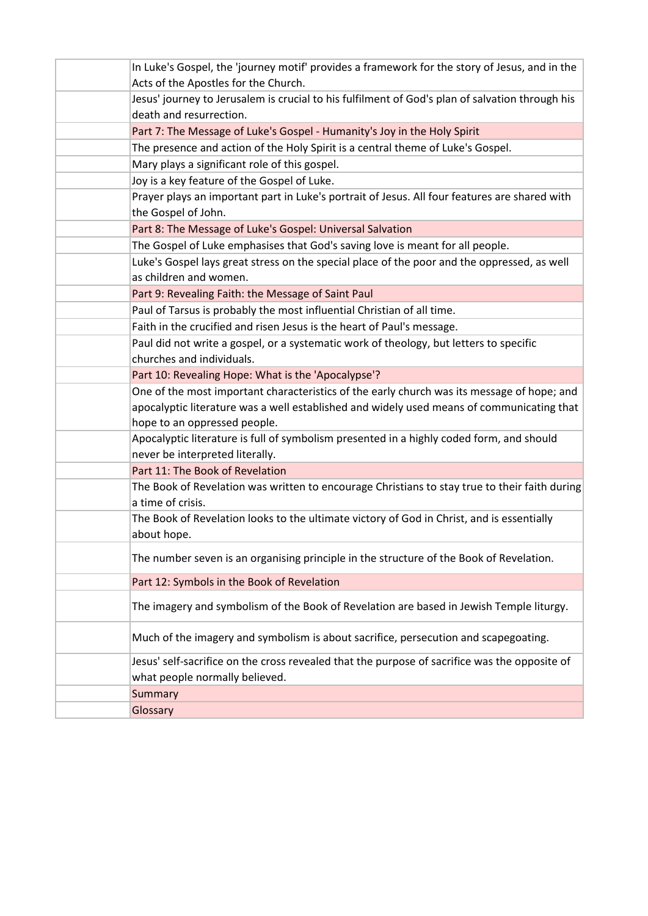| In Luke's Gospel, the 'journey motif' provides a framework for the story of Jesus, and in the                      |
|--------------------------------------------------------------------------------------------------------------------|
| Acts of the Apostles for the Church.                                                                               |
| Jesus' journey to Jerusalem is crucial to his fulfilment of God's plan of salvation through his                    |
| death and resurrection.                                                                                            |
| Part 7: The Message of Luke's Gospel - Humanity's Joy in the Holy Spirit                                           |
| The presence and action of the Holy Spirit is a central theme of Luke's Gospel.                                    |
| Mary plays a significant role of this gospel.                                                                      |
| Joy is a key feature of the Gospel of Luke.                                                                        |
| Prayer plays an important part in Luke's portrait of Jesus. All four features are shared with                      |
| the Gospel of John.                                                                                                |
| Part 8: The Message of Luke's Gospel: Universal Salvation                                                          |
| The Gospel of Luke emphasises that God's saving love is meant for all people.                                      |
| Luke's Gospel lays great stress on the special place of the poor and the oppressed, as well                        |
| as children and women.                                                                                             |
| Part 9: Revealing Faith: the Message of Saint Paul                                                                 |
| Paul of Tarsus is probably the most influential Christian of all time.                                             |
| Faith in the crucified and risen Jesus is the heart of Paul's message.                                             |
| Paul did not write a gospel, or a systematic work of theology, but letters to specific                             |
| churches and individuals.                                                                                          |
| Part 10: Revealing Hope: What is the 'Apocalypse'?                                                                 |
| One of the most important characteristics of the early church was its message of hope; and                         |
| apocalyptic literature was a well established and widely used means of communicating that                          |
| hope to an oppressed people.                                                                                       |
| Apocalyptic literature is full of symbolism presented in a highly coded form, and should                           |
| never be interpreted literally.                                                                                    |
| Part 11: The Book of Revelation                                                                                    |
| The Book of Revelation was written to encourage Christians to stay true to their faith during<br>a time of crisis. |
| The Book of Revelation looks to the ultimate victory of God in Christ, and is essentially                          |
| about hope.                                                                                                        |
| The number seven is an organising principle in the structure of the Book of Revelation.                            |
| Part 12: Symbols in the Book of Revelation                                                                         |
| The imagery and symbolism of the Book of Revelation are based in Jewish Temple liturgy.                            |
| Much of the imagery and symbolism is about sacrifice, persecution and scapegoating.                                |
| Jesus' self-sacrifice on the cross revealed that the purpose of sacrifice was the opposite of                      |
| what people normally believed.                                                                                     |
| Summary                                                                                                            |
| Glossary                                                                                                           |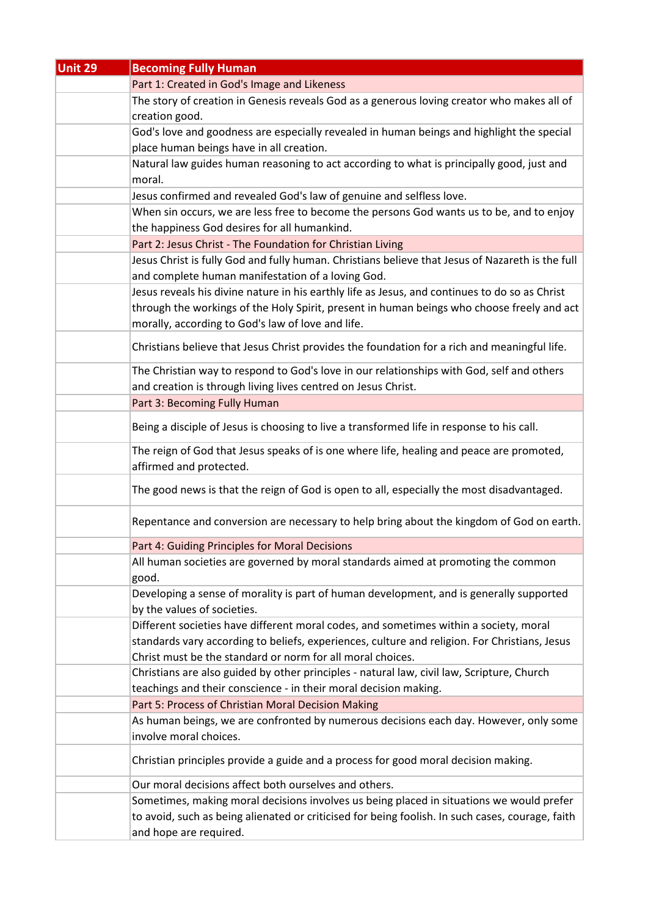| <b>Unit 29</b> | <b>Becoming Fully Human</b>                                                                                            |
|----------------|------------------------------------------------------------------------------------------------------------------------|
|                | Part 1: Created in God's Image and Likeness                                                                            |
|                | The story of creation in Genesis reveals God as a generous loving creator who makes all of                             |
|                | creation good.                                                                                                         |
|                | God's love and goodness are especially revealed in human beings and highlight the special                              |
|                | place human beings have in all creation.                                                                               |
|                | Natural law guides human reasoning to act according to what is principally good, just and                              |
|                | moral.                                                                                                                 |
|                | Jesus confirmed and revealed God's law of genuine and selfless love.                                                   |
|                | When sin occurs, we are less free to become the persons God wants us to be, and to enjoy                               |
|                | the happiness God desires for all humankind.                                                                           |
|                | Part 2: Jesus Christ - The Foundation for Christian Living                                                             |
|                | Jesus Christ is fully God and fully human. Christians believe that Jesus of Nazareth is the full                       |
|                | and complete human manifestation of a loving God.                                                                      |
|                | Jesus reveals his divine nature in his earthly life as Jesus, and continues to do so as Christ                         |
|                | through the workings of the Holy Spirit, present in human beings who choose freely and act                             |
|                | morally, according to God's law of love and life.                                                                      |
|                | Christians believe that Jesus Christ provides the foundation for a rich and meaningful life.                           |
|                |                                                                                                                        |
|                | The Christian way to respond to God's love in our relationships with God, self and others                              |
|                | and creation is through living lives centred on Jesus Christ.                                                          |
|                | Part 3: Becoming Fully Human                                                                                           |
|                | Being a disciple of Jesus is choosing to live a transformed life in response to his call.                              |
|                | The reign of God that Jesus speaks of is one where life, healing and peace are promoted,<br>affirmed and protected.    |
|                | The good news is that the reign of God is open to all, especially the most disadvantaged.                              |
|                | Repentance and conversion are necessary to help bring about the kingdom of God on earth.                               |
|                | Part 4: Guiding Principles for Moral Decisions                                                                         |
|                | All human societies are governed by moral standards aimed at promoting the common<br>good.                             |
|                | Developing a sense of morality is part of human development, and is generally supported<br>by the values of societies. |
|                | Different societies have different moral codes, and sometimes within a society, moral                                  |
|                | standards vary according to beliefs, experiences, culture and religion. For Christians, Jesus                          |
|                | Christ must be the standard or norm for all moral choices.                                                             |
|                | Christians are also guided by other principles - natural law, civil law, Scripture, Church                             |
|                | teachings and their conscience - in their moral decision making.                                                       |
|                | Part 5: Process of Christian Moral Decision Making                                                                     |
|                | As human beings, we are confronted by numerous decisions each day. However, only some                                  |
|                | involve moral choices.                                                                                                 |
|                | Christian principles provide a guide and a process for good moral decision making.                                     |
|                | Our moral decisions affect both ourselves and others.                                                                  |
|                | Sometimes, making moral decisions involves us being placed in situations we would prefer                               |
|                | to avoid, such as being alienated or criticised for being foolish. In such cases, courage, faith                       |
|                | and hope are required.                                                                                                 |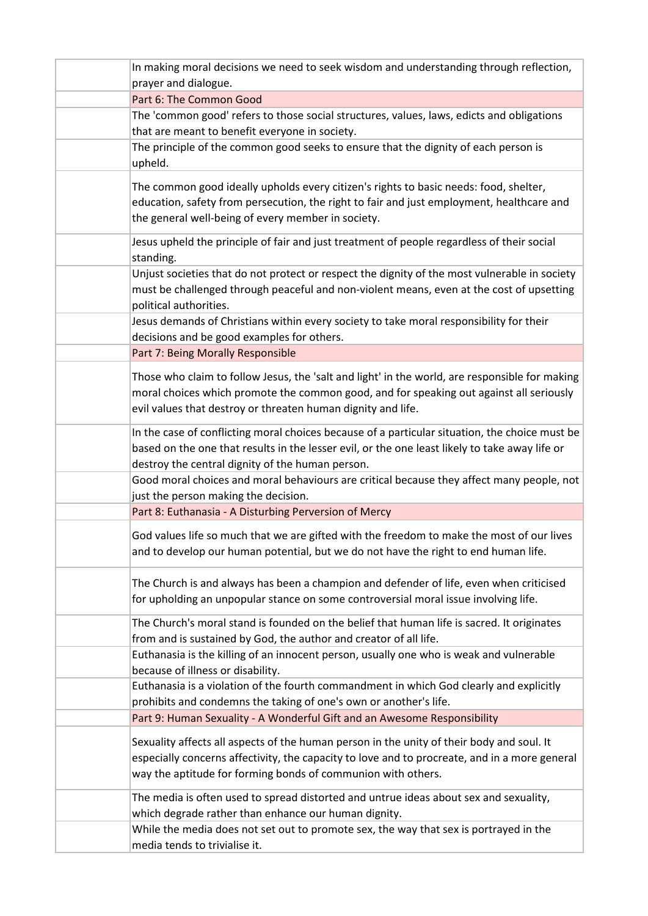| In making moral decisions we need to seek wisdom and understanding through reflection,                                                                                                                                                                     |
|------------------------------------------------------------------------------------------------------------------------------------------------------------------------------------------------------------------------------------------------------------|
| prayer and dialogue.                                                                                                                                                                                                                                       |
| Part 6: The Common Good                                                                                                                                                                                                                                    |
| The 'common good' refers to those social structures, values, laws, edicts and obligations<br>that are meant to benefit everyone in society.                                                                                                                |
| The principle of the common good seeks to ensure that the dignity of each person is<br>upheld.                                                                                                                                                             |
| The common good ideally upholds every citizen's rights to basic needs: food, shelter,<br>education, safety from persecution, the right to fair and just employment, healthcare and<br>the general well-being of every member in society.                   |
| Jesus upheld the principle of fair and just treatment of people regardless of their social<br>standing.                                                                                                                                                    |
| Unjust societies that do not protect or respect the dignity of the most vulnerable in society<br>must be challenged through peaceful and non-violent means, even at the cost of upsetting<br>political authorities.                                        |
| Jesus demands of Christians within every society to take moral responsibility for their<br>decisions and be good examples for others.                                                                                                                      |
| Part 7: Being Morally Responsible                                                                                                                                                                                                                          |
| Those who claim to follow Jesus, the 'salt and light' in the world, are responsible for making<br>moral choices which promote the common good, and for speaking out against all seriously<br>evil values that destroy or threaten human dignity and life.  |
| In the case of conflicting moral choices because of a particular situation, the choice must be<br>based on the one that results in the lesser evil, or the one least likely to take away life or<br>destroy the central dignity of the human person.       |
| Good moral choices and moral behaviours are critical because they affect many people, not<br>just the person making the decision.                                                                                                                          |
| Part 8: Euthanasia - A Disturbing Perversion of Mercy                                                                                                                                                                                                      |
| God values life so much that we are gifted with the freedom to make the most of our lives<br>and to develop our human potential, but we do not have the right to end human life.                                                                           |
| The Church is and always has been a champion and defender of life, even when criticised<br>for upholding an unpopular stance on some controversial moral issue involving life.                                                                             |
| The Church's moral stand is founded on the belief that human life is sacred. It originates<br>from and is sustained by God, the author and creator of all life.                                                                                            |
| Euthanasia is the killing of an innocent person, usually one who is weak and vulnerable<br>because of illness or disability.                                                                                                                               |
| Euthanasia is a violation of the fourth commandment in which God clearly and explicitly<br>prohibits and condemns the taking of one's own or another's life.                                                                                               |
| Part 9: Human Sexuality - A Wonderful Gift and an Awesome Responsibility                                                                                                                                                                                   |
| Sexuality affects all aspects of the human person in the unity of their body and soul. It<br>especially concerns affectivity, the capacity to love and to procreate, and in a more general<br>way the aptitude for forming bonds of communion with others. |
| The media is often used to spread distorted and untrue ideas about sex and sexuality,<br>which degrade rather than enhance our human dignity.                                                                                                              |
| While the media does not set out to promote sex, the way that sex is portrayed in the<br>media tends to trivialise it.                                                                                                                                     |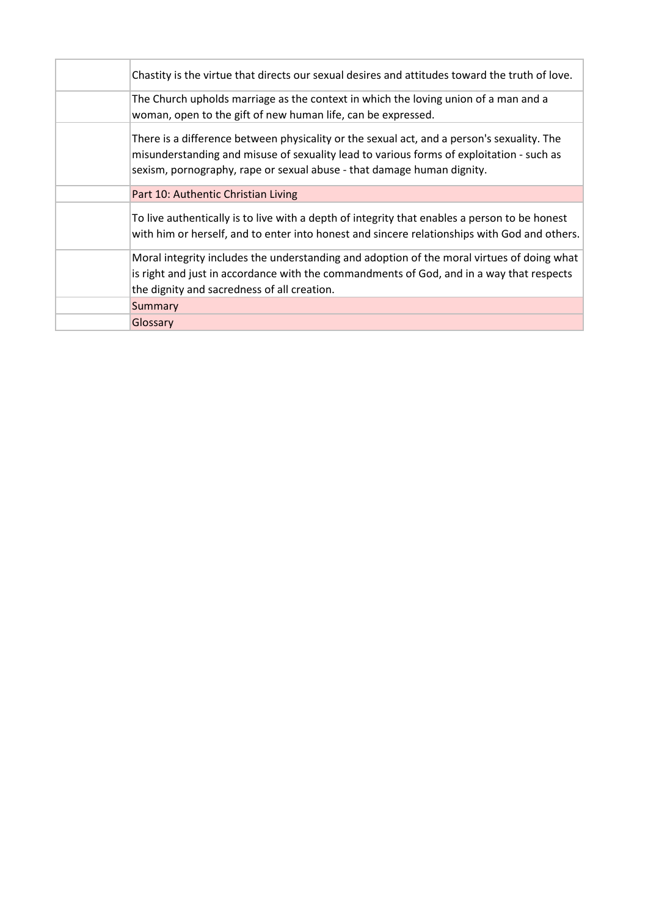| Chastity is the virtue that directs our sexual desires and attitudes toward the truth of love.                                                                                                                                                                   |
|------------------------------------------------------------------------------------------------------------------------------------------------------------------------------------------------------------------------------------------------------------------|
| The Church upholds marriage as the context in which the loving union of a man and a<br>woman, open to the gift of new human life, can be expressed.                                                                                                              |
| There is a difference between physicality or the sexual act, and a person's sexuality. The<br>misunderstanding and misuse of sexuality lead to various forms of exploitation - such as<br>sexism, pornography, rape or sexual abuse - that damage human dignity. |
| Part 10: Authentic Christian Living                                                                                                                                                                                                                              |
| To live authentically is to live with a depth of integrity that enables a person to be honest<br>with him or herself, and to enter into honest and sincere relationships with God and others.                                                                    |
| Moral integrity includes the understanding and adoption of the moral virtues of doing what<br>is right and just in accordance with the commandments of God, and in a way that respects<br>the dignity and sacredness of all creation.                            |
| Summary                                                                                                                                                                                                                                                          |
| Glossary                                                                                                                                                                                                                                                         |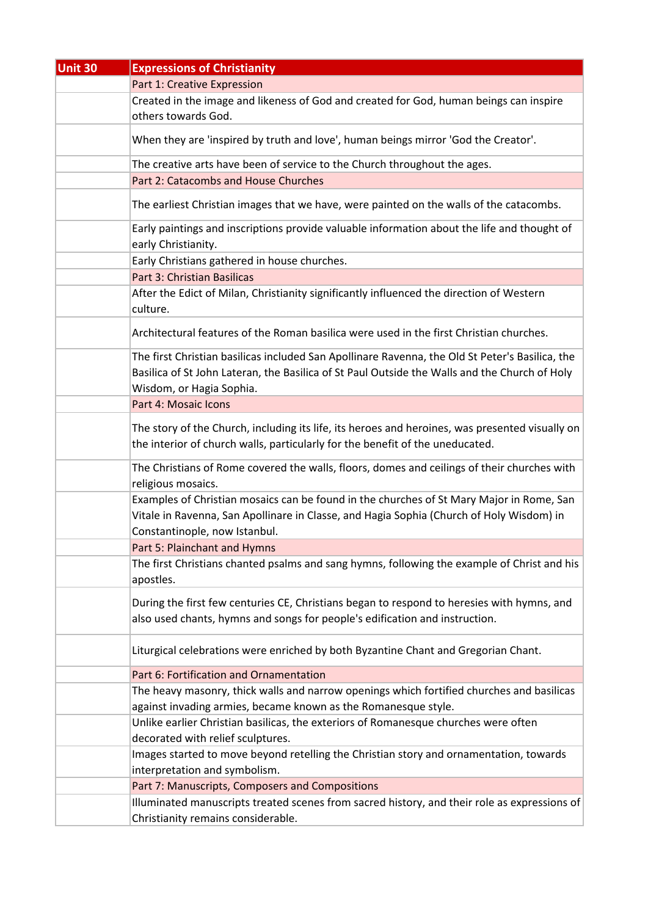| <b>Unit 30</b> | <b>Expressions of Christianity</b>                                                                                                                                                                                           |
|----------------|------------------------------------------------------------------------------------------------------------------------------------------------------------------------------------------------------------------------------|
|                | Part 1: Creative Expression                                                                                                                                                                                                  |
|                | Created in the image and likeness of God and created for God, human beings can inspire                                                                                                                                       |
|                | others towards God.                                                                                                                                                                                                          |
|                | When they are 'inspired by truth and love', human beings mirror 'God the Creator'.                                                                                                                                           |
|                | The creative arts have been of service to the Church throughout the ages.                                                                                                                                                    |
|                | Part 2: Catacombs and House Churches                                                                                                                                                                                         |
|                | The earliest Christian images that we have, were painted on the walls of the catacombs.                                                                                                                                      |
|                | Early paintings and inscriptions provide valuable information about the life and thought of<br>early Christianity.                                                                                                           |
|                | Early Christians gathered in house churches.                                                                                                                                                                                 |
|                | Part 3: Christian Basilicas                                                                                                                                                                                                  |
|                | After the Edict of Milan, Christianity significantly influenced the direction of Western<br>culture.                                                                                                                         |
|                | Architectural features of the Roman basilica were used in the first Christian churches.                                                                                                                                      |
|                | The first Christian basilicas included San Apollinare Ravenna, the Old St Peter's Basilica, the<br>Basilica of St John Lateran, the Basilica of St Paul Outside the Walls and the Church of Holy<br>Wisdom, or Hagia Sophia. |
|                | Part 4: Mosaic Icons                                                                                                                                                                                                         |
|                | The story of the Church, including its life, its heroes and heroines, was presented visually on<br>the interior of church walls, particularly for the benefit of the uneducated.                                             |
|                | The Christians of Rome covered the walls, floors, domes and ceilings of their churches with<br>religious mosaics.                                                                                                            |
|                | Examples of Christian mosaics can be found in the churches of St Mary Major in Rome, San<br>Vitale in Ravenna, San Apollinare in Classe, and Hagia Sophia (Church of Holy Wisdom) in<br>Constantinople, now Istanbul.        |
|                | Part 5: Plainchant and Hymns                                                                                                                                                                                                 |
|                | The first Christians chanted psalms and sang hymns, following the example of Christ and his<br>apostles.                                                                                                                     |
|                | During the first few centuries CE, Christians began to respond to heresies with hymns, and<br>also used chants, hymns and songs for people's edification and instruction.                                                    |
|                | Liturgical celebrations were enriched by both Byzantine Chant and Gregorian Chant.                                                                                                                                           |
|                | Part 6: Fortification and Ornamentation                                                                                                                                                                                      |
|                | The heavy masonry, thick walls and narrow openings which fortified churches and basilicas                                                                                                                                    |
|                | against invading armies, became known as the Romanesque style.                                                                                                                                                               |
|                | Unlike earlier Christian basilicas, the exteriors of Romanesque churches were often                                                                                                                                          |
|                | decorated with relief sculptures.                                                                                                                                                                                            |
|                | Images started to move beyond retelling the Christian story and ornamentation, towards                                                                                                                                       |
|                | interpretation and symbolism.                                                                                                                                                                                                |
|                | Part 7: Manuscripts, Composers and Compositions                                                                                                                                                                              |
|                | Illuminated manuscripts treated scenes from sacred history, and their role as expressions of                                                                                                                                 |
|                | Christianity remains considerable.                                                                                                                                                                                           |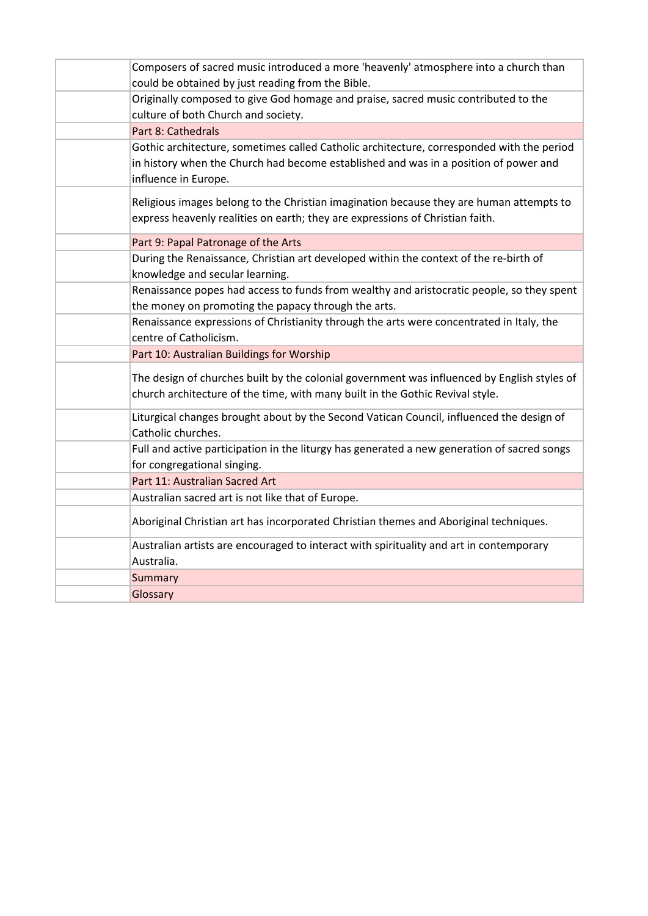| Composers of sacred music introduced a more 'heavenly' atmosphere into a church than<br>could be obtained by just reading from the Bible.                                                                 |
|-----------------------------------------------------------------------------------------------------------------------------------------------------------------------------------------------------------|
| Originally composed to give God homage and praise, sacred music contributed to the<br>culture of both Church and society.                                                                                 |
| Part 8: Cathedrals                                                                                                                                                                                        |
| Gothic architecture, sometimes called Catholic architecture, corresponded with the period<br>in history when the Church had become established and was in a position of power and<br>influence in Europe. |
| Religious images belong to the Christian imagination because they are human attempts to<br>express heavenly realities on earth; they are expressions of Christian faith.                                  |
| Part 9: Papal Patronage of the Arts                                                                                                                                                                       |
| During the Renaissance, Christian art developed within the context of the re-birth of<br>knowledge and secular learning.                                                                                  |
| Renaissance popes had access to funds from wealthy and aristocratic people, so they spent<br>the money on promoting the papacy through the arts.                                                          |
| Renaissance expressions of Christianity through the arts were concentrated in Italy, the<br>centre of Catholicism.                                                                                        |
| Part 10: Australian Buildings for Worship                                                                                                                                                                 |
| The design of churches built by the colonial government was influenced by English styles of<br>church architecture of the time, with many built in the Gothic Revival style.                              |
| Liturgical changes brought about by the Second Vatican Council, influenced the design of<br>Catholic churches.                                                                                            |
| Full and active participation in the liturgy has generated a new generation of sacred songs<br>for congregational singing.                                                                                |
| Part 11: Australian Sacred Art                                                                                                                                                                            |
| Australian sacred art is not like that of Europe.                                                                                                                                                         |
| Aboriginal Christian art has incorporated Christian themes and Aboriginal techniques.                                                                                                                     |
| Australian artists are encouraged to interact with spirituality and art in contemporary<br>Australia.                                                                                                     |
| Summary                                                                                                                                                                                                   |
| Glossary                                                                                                                                                                                                  |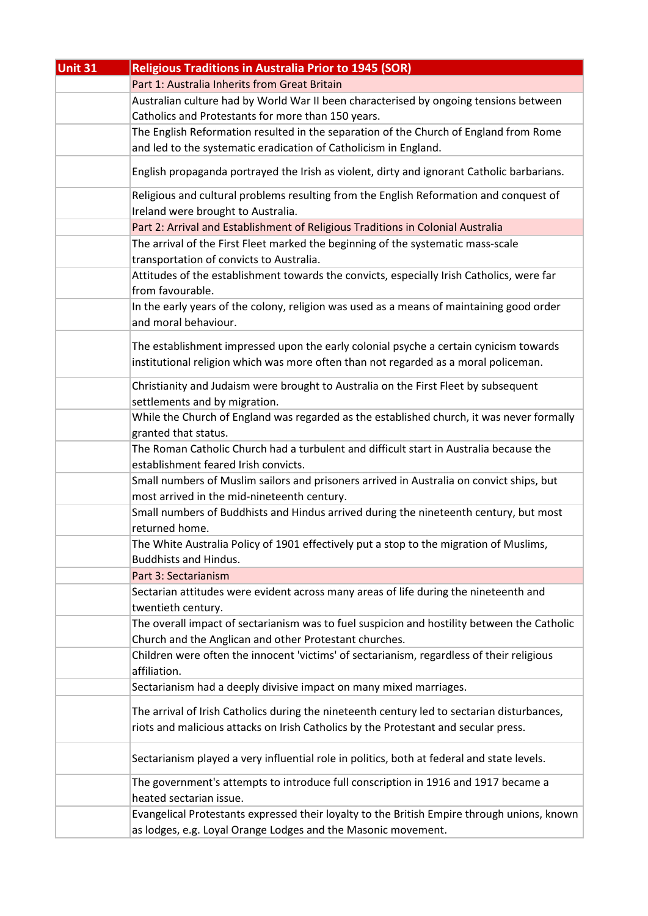| Unit 31 | <b>Religious Traditions in Australia Prior to 1945 (SOR)</b>                                                                 |
|---------|------------------------------------------------------------------------------------------------------------------------------|
|         | Part 1: Australia Inherits from Great Britain                                                                                |
|         | Australian culture had by World War II been characterised by ongoing tensions between                                        |
|         | Catholics and Protestants for more than 150 years.                                                                           |
|         | The English Reformation resulted in the separation of the Church of England from Rome                                        |
|         | and led to the systematic eradication of Catholicism in England.                                                             |
|         | English propaganda portrayed the Irish as violent, dirty and ignorant Catholic barbarians.                                   |
|         | Religious and cultural problems resulting from the English Reformation and conquest of<br>Ireland were brought to Australia. |
|         | Part 2: Arrival and Establishment of Religious Traditions in Colonial Australia                                              |
|         | The arrival of the First Fleet marked the beginning of the systematic mass-scale                                             |
|         | transportation of convicts to Australia.                                                                                     |
|         | Attitudes of the establishment towards the convicts, especially Irish Catholics, were far                                    |
|         | from favourable.                                                                                                             |
|         | In the early years of the colony, religion was used as a means of maintaining good order<br>and moral behaviour.             |
|         | The establishment impressed upon the early colonial psyche a certain cynicism towards                                        |
|         | institutional religion which was more often than not regarded as a moral policeman.                                          |
|         |                                                                                                                              |
|         | Christianity and Judaism were brought to Australia on the First Fleet by subsequent                                          |
|         | settlements and by migration.                                                                                                |
|         | While the Church of England was regarded as the established church, it was never formally                                    |
|         | granted that status.                                                                                                         |
|         | The Roman Catholic Church had a turbulent and difficult start in Australia because the                                       |
|         | establishment feared Irish convicts.                                                                                         |
|         | Small numbers of Muslim sailors and prisoners arrived in Australia on convict ships, but                                     |
|         | most arrived in the mid-nineteenth century.                                                                                  |
|         | Small numbers of Buddhists and Hindus arrived during the nineteenth century, but most                                        |
|         | returned home.                                                                                                               |
|         | The White Australia Policy of 1901 effectively put a stop to the migration of Muslims,                                       |
|         | <b>Buddhists and Hindus.</b>                                                                                                 |
|         | Part 3: Sectarianism                                                                                                         |
|         | Sectarian attitudes were evident across many areas of life during the nineteenth and                                         |
|         | twentieth century.                                                                                                           |
|         | The overall impact of sectarianism was to fuel suspicion and hostility between the Catholic                                  |
|         | Church and the Anglican and other Protestant churches.                                                                       |
|         | Children were often the innocent 'victims' of sectarianism, regardless of their religious                                    |
|         | affiliation.                                                                                                                 |
|         | Sectarianism had a deeply divisive impact on many mixed marriages.                                                           |
|         | The arrival of Irish Catholics during the nineteenth century led to sectarian disturbances,                                  |
|         | riots and malicious attacks on Irish Catholics by the Protestant and secular press.                                          |
|         |                                                                                                                              |
|         | Sectarianism played a very influential role in politics, both at federal and state levels.                                   |
|         | The government's attempts to introduce full conscription in 1916 and 1917 became a                                           |
|         | heated sectarian issue.                                                                                                      |
|         | Evangelical Protestants expressed their loyalty to the British Empire through unions, known                                  |
|         | as lodges, e.g. Loyal Orange Lodges and the Masonic movement.                                                                |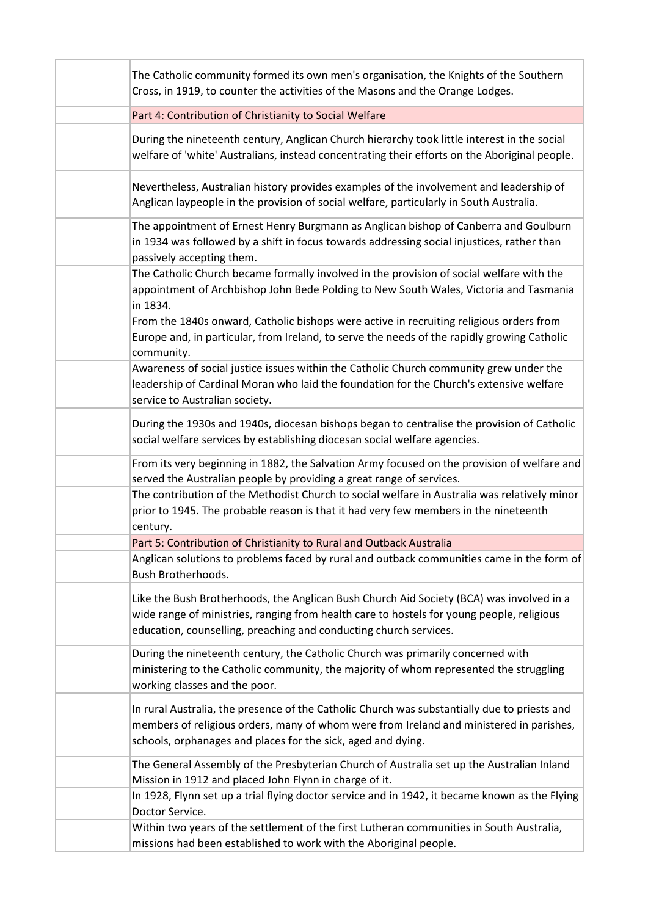| The Catholic community formed its own men's organisation, the Knights of the Southern<br>Cross, in 1919, to counter the activities of the Masons and the Orange Lodges.                                                                                    |
|------------------------------------------------------------------------------------------------------------------------------------------------------------------------------------------------------------------------------------------------------------|
| Part 4: Contribution of Christianity to Social Welfare                                                                                                                                                                                                     |
| During the nineteenth century, Anglican Church hierarchy took little interest in the social<br>welfare of 'white' Australians, instead concentrating their efforts on the Aboriginal people.                                                               |
| Nevertheless, Australian history provides examples of the involvement and leadership of<br>Anglican laypeople in the provision of social welfare, particularly in South Australia.                                                                         |
| The appointment of Ernest Henry Burgmann as Anglican bishop of Canberra and Goulburn<br>in 1934 was followed by a shift in focus towards addressing social injustices, rather than<br>passively accepting them.                                            |
| The Catholic Church became formally involved in the provision of social welfare with the<br>appointment of Archbishop John Bede Polding to New South Wales, Victoria and Tasmania<br>in 1834.                                                              |
| From the 1840s onward, Catholic bishops were active in recruiting religious orders from<br>Europe and, in particular, from Ireland, to serve the needs of the rapidly growing Catholic<br>community.                                                       |
| Awareness of social justice issues within the Catholic Church community grew under the<br>leadership of Cardinal Moran who laid the foundation for the Church's extensive welfare<br>service to Australian society.                                        |
| During the 1930s and 1940s, diocesan bishops began to centralise the provision of Catholic<br>social welfare services by establishing diocesan social welfare agencies.                                                                                    |
| From its very beginning in 1882, the Salvation Army focused on the provision of welfare and<br>served the Australian people by providing a great range of services.                                                                                        |
| The contribution of the Methodist Church to social welfare in Australia was relatively minor<br>prior to 1945. The probable reason is that it had very few members in the nineteenth<br>century.                                                           |
| Part 5: Contribution of Christianity to Rural and Outback Australia                                                                                                                                                                                        |
| Anglican solutions to problems faced by rural and outback communities came in the form of<br>Bush Brotherhoods.                                                                                                                                            |
| Like the Bush Brotherhoods, the Anglican Bush Church Aid Society (BCA) was involved in a<br>wide range of ministries, ranging from health care to hostels for young people, religious<br>education, counselling, preaching and conducting church services. |
| During the nineteenth century, the Catholic Church was primarily concerned with<br>ministering to the Catholic community, the majority of whom represented the struggling<br>working classes and the poor.                                                 |
| In rural Australia, the presence of the Catholic Church was substantially due to priests and<br>members of religious orders, many of whom were from Ireland and ministered in parishes,<br>schools, orphanages and places for the sick, aged and dying.    |
| The General Assembly of the Presbyterian Church of Australia set up the Australian Inland<br>Mission in 1912 and placed John Flynn in charge of it.                                                                                                        |
| In 1928, Flynn set up a trial flying doctor service and in 1942, it became known as the Flying<br>Doctor Service.                                                                                                                                          |
| Within two years of the settlement of the first Lutheran communities in South Australia,<br>missions had been established to work with the Aboriginal people.                                                                                              |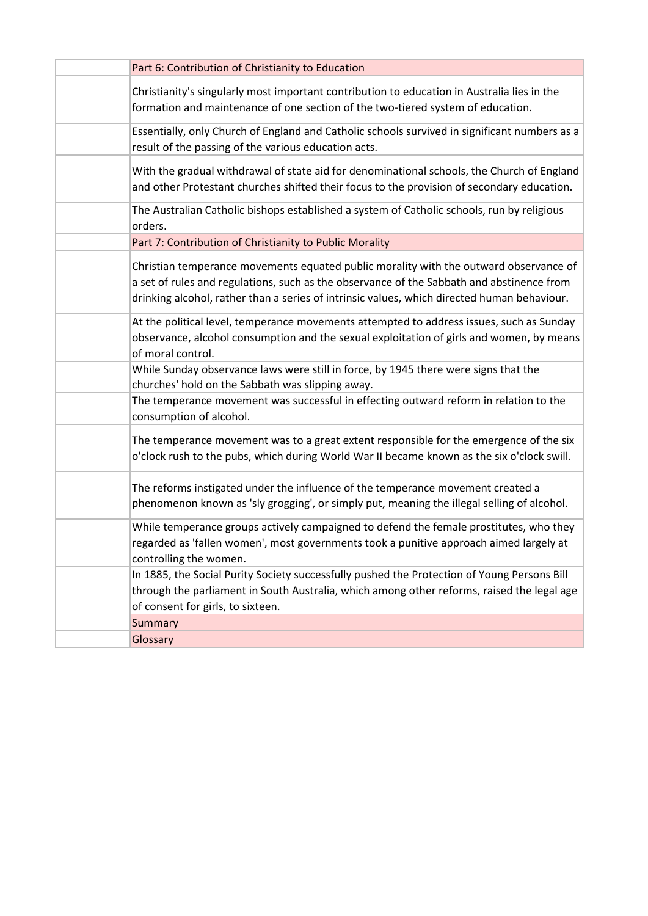| Part 6: Contribution of Christianity to Education                                                                                                                                                                                                                                 |
|-----------------------------------------------------------------------------------------------------------------------------------------------------------------------------------------------------------------------------------------------------------------------------------|
| Christianity's singularly most important contribution to education in Australia lies in the<br>formation and maintenance of one section of the two-tiered system of education.                                                                                                    |
| Essentially, only Church of England and Catholic schools survived in significant numbers as a<br>result of the passing of the various education acts.                                                                                                                             |
| With the gradual withdrawal of state aid for denominational schools, the Church of England<br>and other Protestant churches shifted their focus to the provision of secondary education.                                                                                          |
| The Australian Catholic bishops established a system of Catholic schools, run by religious<br>orders.                                                                                                                                                                             |
| Part 7: Contribution of Christianity to Public Morality                                                                                                                                                                                                                           |
| Christian temperance movements equated public morality with the outward observance of<br>a set of rules and regulations, such as the observance of the Sabbath and abstinence from<br>drinking alcohol, rather than a series of intrinsic values, which directed human behaviour. |
| At the political level, temperance movements attempted to address issues, such as Sunday<br>observance, alcohol consumption and the sexual exploitation of girls and women, by means<br>of moral control.                                                                         |
| While Sunday observance laws were still in force, by 1945 there were signs that the<br>churches' hold on the Sabbath was slipping away.                                                                                                                                           |
| The temperance movement was successful in effecting outward reform in relation to the<br>consumption of alcohol.                                                                                                                                                                  |
| The temperance movement was to a great extent responsible for the emergence of the six<br>o'clock rush to the pubs, which during World War II became known as the six o'clock swill.                                                                                              |
| The reforms instigated under the influence of the temperance movement created a<br>phenomenon known as 'sly grogging', or simply put, meaning the illegal selling of alcohol.                                                                                                     |
| While temperance groups actively campaigned to defend the female prostitutes, who they<br>regarded as 'fallen women', most governments took a punitive approach aimed largely at<br>controlling the women.                                                                        |
| In 1885, the Social Purity Society successfully pushed the Protection of Young Persons Bill<br>through the parliament in South Australia, which among other reforms, raised the legal age<br>of consent for girls, to sixteen.                                                    |
| Summary                                                                                                                                                                                                                                                                           |
| Glossary                                                                                                                                                                                                                                                                          |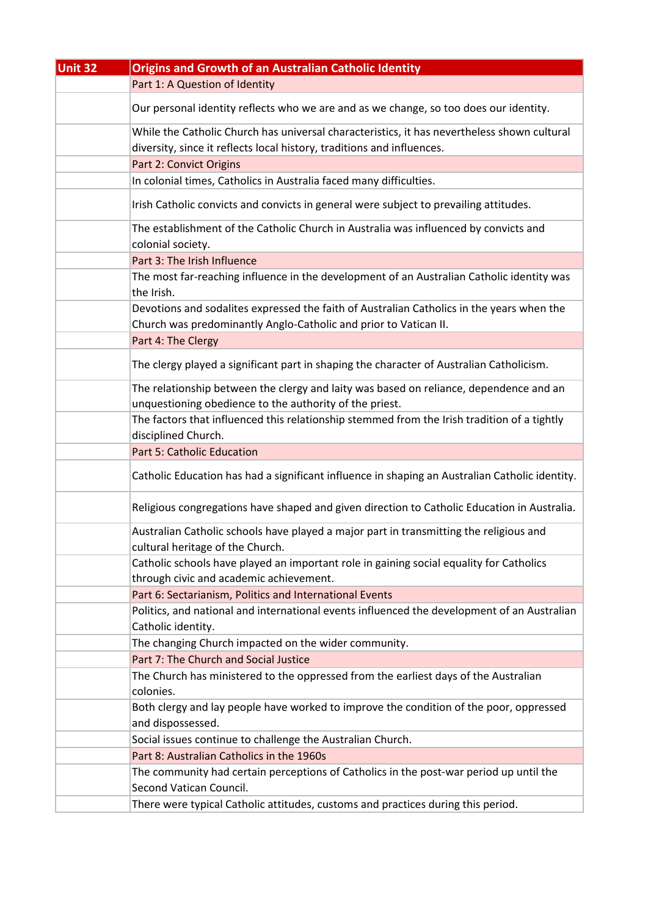| Unit 32 | <b>Origins and Growth of an Australian Catholic Identity</b>                                                                                                          |
|---------|-----------------------------------------------------------------------------------------------------------------------------------------------------------------------|
|         | Part 1: A Question of Identity                                                                                                                                        |
|         | Our personal identity reflects who we are and as we change, so too does our identity.                                                                                 |
|         | While the Catholic Church has universal characteristics, it has nevertheless shown cultural<br>diversity, since it reflects local history, traditions and influences. |
|         | Part 2: Convict Origins                                                                                                                                               |
|         | In colonial times, Catholics in Australia faced many difficulties.                                                                                                    |
|         | Irish Catholic convicts and convicts in general were subject to prevailing attitudes.                                                                                 |
|         | The establishment of the Catholic Church in Australia was influenced by convicts and<br>colonial society.                                                             |
|         | Part 3: The Irish Influence                                                                                                                                           |
|         | The most far-reaching influence in the development of an Australian Catholic identity was<br>the Irish.                                                               |
|         | Devotions and sodalites expressed the faith of Australian Catholics in the years when the<br>Church was predominantly Anglo-Catholic and prior to Vatican II.         |
|         | Part 4: The Clergy                                                                                                                                                    |
|         | The clergy played a significant part in shaping the character of Australian Catholicism.                                                                              |
|         | The relationship between the clergy and laity was based on reliance, dependence and an<br>unquestioning obedience to the authority of the priest.                     |
|         | The factors that influenced this relationship stemmed from the Irish tradition of a tightly                                                                           |
|         | disciplined Church.                                                                                                                                                   |
|         | <b>Part 5: Catholic Education</b>                                                                                                                                     |
|         | Catholic Education has had a significant influence in shaping an Australian Catholic identity.                                                                        |
|         | Religious congregations have shaped and given direction to Catholic Education in Australia.                                                                           |
|         | Australian Catholic schools have played a major part in transmitting the religious and<br>cultural heritage of the Church.                                            |
|         | Catholic schools have played an important role in gaining social equality for Catholics<br>through civic and academic achievement.                                    |
|         | Part 6: Sectarianism, Politics and International Events                                                                                                               |
|         | Politics, and national and international events influenced the development of an Australian<br>Catholic identity.                                                     |
|         | The changing Church impacted on the wider community.                                                                                                                  |
|         | Part 7: The Church and Social Justice                                                                                                                                 |
|         | The Church has ministered to the oppressed from the earliest days of the Australian<br>colonies.                                                                      |
|         | Both clergy and lay people have worked to improve the condition of the poor, oppressed<br>and dispossessed.                                                           |
|         | Social issues continue to challenge the Australian Church.                                                                                                            |
|         | Part 8: Australian Catholics in the 1960s                                                                                                                             |
|         | The community had certain perceptions of Catholics in the post-war period up until the<br>Second Vatican Council.                                                     |
|         | There were typical Catholic attitudes, customs and practices during this period.                                                                                      |